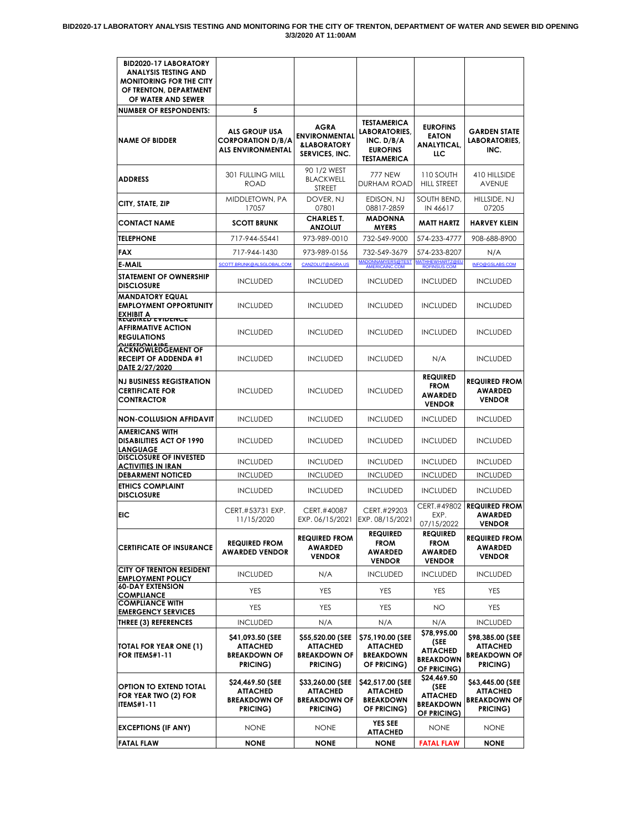| <b>BID2020-17 LABORATORY</b>                                                                                  |                                                                              |                                                                          |                                                                                            |                                                                           |                                                                        |
|---------------------------------------------------------------------------------------------------------------|------------------------------------------------------------------------------|--------------------------------------------------------------------------|--------------------------------------------------------------------------------------------|---------------------------------------------------------------------------|------------------------------------------------------------------------|
| <b>ANALYSIS TESTING AND</b><br><b>MONITORING FOR THE CITY</b><br>OF TRENTON, DEPARTMENT<br>OF WATER AND SEWER |                                                                              |                                                                          |                                                                                            |                                                                           |                                                                        |
| <b>NUMBER OF RESPONDENTS:</b>                                                                                 | 5                                                                            |                                                                          |                                                                                            |                                                                           |                                                                        |
| <b>NAME OF BIDDER</b>                                                                                         | <b>ALS GROUP USA</b><br><b>CORPORATION D/B/A</b><br><b>ALS ENVIRONMENTAL</b> | AGRA<br><b>ENVIRONMENTAL</b><br><b>&amp;LABORATORY</b><br>SERVICES, INC. | <b>TESTAMERICA</b><br>LABORATORIES.<br>INC. D/B/A<br><b>EUROFINS</b><br><b>TESTAMERICA</b> | <b>EUROFINS</b><br><b>EATON</b><br><b>ANALYTICAL,</b><br>LLC              | <b>GARDEN STATE</b><br><b>LABORATORIES,</b><br>INC.                    |
| <b>ADDRESS</b>                                                                                                | 301 FULLING MILL<br>ROAD                                                     | 90 1/2 WEST<br><b>BLACKWELL</b><br><b>STREET</b>                         | 777 NEW<br><b>DURHAM ROAD</b>                                                              | 110 SOUTH<br><b>HILL STREET</b>                                           | 410 HILLSIDE<br><b>AVENUE</b>                                          |
| CITY, STATE, ZIP                                                                                              | MIDDLETOWN, PA<br>17057                                                      | DOVER, NJ<br>07801                                                       | EDISON, NJ<br>08817-2859                                                                   | SOUTH BEND,<br>IN 46617                                                   | HILLSIDE, NJ<br>07205                                                  |
| CONTACT NAME                                                                                                  | <b>SCOTT BRUNK</b>                                                           | <b>CHARLES T.</b><br><b>ANZOLUT</b>                                      | <b>MADONNA</b><br><b>MYERS</b>                                                             | <b>MATT HARTZ</b>                                                         | <b>HARVEY KLEIN</b>                                                    |
| <b>TELEPHONE</b>                                                                                              | 717-944-55441                                                                | 973-989-0010                                                             | 732-549-9000                                                                               | 574-233-4777                                                              | 908-688-8900                                                           |
| FAX                                                                                                           | 717-944-1430                                                                 | 973-989-0156                                                             | 732-549-3679                                                                               | 574-233-8207                                                              | N/A                                                                    |
| E-MAIL                                                                                                        | SCOTT.BRUNK@ALSGLOBAL.COM                                                    | CANZOLUT@AGRA.US                                                         | MADONNAMYERS@TEST<br>AMERICAINC.COM                                                        | MATHHEWHARTZ@EU<br>ROFINSUS.COM                                           | INFO@GSLABS.COM                                                        |
| STATEMENT OF OWNERSHIP<br><b>DISCLOSURE</b>                                                                   | <b>INCLUDED</b>                                                              | <b>INCLUDED</b>                                                          | <b>INCLUDED</b>                                                                            | <b>INCLUDED</b>                                                           | <b>INCLUDED</b>                                                        |
| MANDATORY EQUAL<br><b>EMPLOYMENT OPPORTUNITY</b><br>EXHIBIT A<br><b>REQUIRED EVIDENCE</b>                     | <b>INCLUDED</b>                                                              | <b>INCLUDED</b>                                                          | <b>INCLUDED</b>                                                                            | <b>INCLUDED</b>                                                           | <b>INCLUDED</b>                                                        |
| AFFIRMATIVE ACTION<br><b>REGULATIONS</b><br><b>QUESTIQALAIDE</b>                                              | <b>INCLUDED</b>                                                              | <b>INCLUDED</b>                                                          | <b>INCLUDED</b>                                                                            | <b>INCLUDED</b>                                                           | <b>INCLUDED</b>                                                        |
| ACKNOWLEDGEMENT OF<br><b>RECEIPT OF ADDENDA #1</b><br>DATE 2/27/2020                                          | <b>INCLUDED</b>                                                              | <b>INCLUDED</b>                                                          | <b>INCLUDED</b>                                                                            | N/A                                                                       | <b>INCLUDED</b>                                                        |
| <b>NJ BUSINESS REGISTRATION</b><br><b>CERTIFICATE FOR</b><br>CONTRACTOR                                       | <b>INCLUDED</b>                                                              | <b>INCLUDED</b>                                                          | <b>INCLUDED</b>                                                                            | <b>REQUIRED</b><br><b>FROM</b><br><b>AWARDED</b><br><b>VENDOR</b>         | <b>REQUIRED FROM</b><br><b>AWARDED</b><br><b>VENDOR</b>                |
| NON-COLLUSION AFFIDAVIT                                                                                       | <b>INCLUDED</b>                                                              | <b>INCLUDED</b>                                                          | <b>INCLUDED</b>                                                                            | <b>INCLUDED</b>                                                           | <b>INCLUDED</b>                                                        |
| AMERICANS WITH<br><b>DISABILITIES ACT OF 1990</b><br><b>LANGUAGE</b>                                          | <b>INCLUDED</b>                                                              | <b>INCLUDED</b>                                                          | <b>INCLUDED</b>                                                                            | <b>INCLUDED</b>                                                           | <b>INCLUDED</b>                                                        |
| <b>DISCLOSURE OF INVESTED</b><br><u>ACTIVITIES IN IRAN</u>                                                    | <b>INCLUDED</b>                                                              | <b>INCLUDED</b>                                                          | <b>INCLUDED</b>                                                                            | <b>INCLUDED</b>                                                           | <b>INCLUDED</b>                                                        |
| <b>DEBARMENT NOTICED</b>                                                                                      | <b>INCLUDED</b>                                                              | <b>INCLUDED</b>                                                          | <b>INCLUDED</b>                                                                            | <b>INCLUDED</b>                                                           | <b>INCLUDED</b>                                                        |
| <b>ETHICS COMPLAINT</b><br><b>DISCLOSURE</b>                                                                  | <b>INCLUDED</b>                                                              | <b>INCLUDED</b>                                                          | <b>INCLUDED</b>                                                                            | <b>INCLUDED</b>                                                           | <b>INCLUDED</b>                                                        |
| EIC                                                                                                           | CERT.#53731 EXP.<br>11/15/2020                                               | CERT.#40087<br>EXP. 06/15/2021                                           | CERT.#29203<br>EXP. 08/15/2021                                                             | CERT.#49802<br>EXP.<br>07/15/2022                                         | <b>REQUIRED FROM</b><br><b>AWARDED</b><br><b>VENDOR</b>                |
| <b>CERTIFICATE OF INSURANCE</b>                                                                               | <b>REQUIRED FROM</b><br><b>AWARDED VENDOR</b>                                | <b>REQUIRED FROM</b><br>AWARDED<br><b>VENDOR</b>                         | <b>REQUIRED</b><br>FROM<br>AWARDED<br><b>VENDOR</b>                                        | <b>REQUIRED</b><br><b>FROM</b><br>AWARDED<br><b>VENDOR</b>                | <b>REQUIRED FROM</b><br><b>AWARDED</b><br><b>VENDOR</b>                |
| CITY OF TRENTON RESIDENT<br><b>EMPLOYMENT POLICY</b>                                                          | <b>INCLUDED</b>                                                              | N/A                                                                      | <b>INCLUDED</b>                                                                            | <b>INCLUDED</b>                                                           | <b>INCLUDED</b>                                                        |
| <b>60-DAY EXTENSION</b><br>COMPLIANCE                                                                         | YES                                                                          | YES                                                                      | YES                                                                                        | YES                                                                       | <b>YES</b>                                                             |
| <b>COMPLIANCE WITH</b>                                                                                        | YES                                                                          | <b>YES</b>                                                               | YES                                                                                        | NO.                                                                       | <b>YES</b>                                                             |
| <b>EMERGENCY SERVICES</b><br><b>THREE (3) REFERENCES</b>                                                      | <b>INCLUDED</b>                                                              | N/A                                                                      | N/A                                                                                        | N/A                                                                       | <b>INCLUDED</b>                                                        |
| TOTAL FOR YEAR ONE (1)<br><b>FOR ITEMS#1-11</b>                                                               | \$41,093.50 (SEE<br><b>ATTACHED</b><br><b>BREAKDOWN OF</b><br>PRICING)       | \$55,520.00 (SEE<br><b>ATTACHED</b><br><b>BREAKDOWN OF</b><br>PRICING)   | \$75,190.00 (SEE<br>ATTACHED<br><b>BREAKDOWN</b><br>OF PRICING)                            | \$78,995.00<br>(SEE<br><b>ATTACHED</b><br><b>BREAKDOWN</b><br>OF PRICING) | \$98,385.00 (SEE<br><b>ATTACHED</b><br><b>BREAKDOWN OF</b><br>PRICING) |
| OPTION TO EXTEND TOTAL<br>FOR YEAR TWO (2) FOR<br><b>ITEMS#1-11</b>                                           | \$24,469.50 (SEE<br><b>ATTACHED</b><br><b>BREAKDOWN OF</b><br>PRICING)       | \$33,260.00 (SEE<br>ATTACHED<br><b>BREAKDOWN OF</b><br>PRICING)          | \$42,517.00 (SEE<br>ATTACHED<br><b>BREAKDOWN</b><br>OF PRICING)                            | \$24,469.50<br>(SEE<br><b>ATTACHED</b><br><b>BREAKDOWN</b><br>OF PRICING) | \$63,445.00 (SEE<br>ATTACHED<br><b>BREAKDOWN OF</b><br>PRICING)        |
| <b>EXCEPTIONS (IF ANY)</b>                                                                                    | <b>NONE</b>                                                                  | NONE                                                                     | <b>YES SEE</b><br>ATTACHED                                                                 | NONE                                                                      | <b>NONE</b>                                                            |
| <b>FATAL FLAW</b>                                                                                             | <b>NONE</b>                                                                  | <b>NONE</b>                                                              | <b>NONE</b>                                                                                | <b>FATAL FLAW</b>                                                         | NONE                                                                   |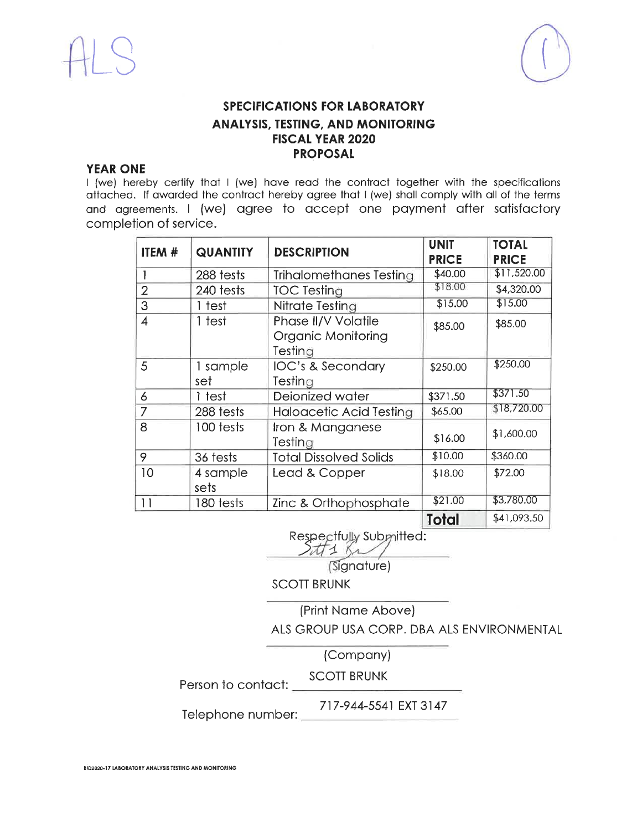

### **YEAR ONE**

I (we) hereby certify that I (we) have read the contract together with the specifications attached. If awarded the contract hereby agree that I (we) shall comply with all of the terms and agreements. I (we) agree to accept one payment after satisfactory completion of service.

| <b>ITEM #</b> | <b>QUANTITY</b>  | <b>DESCRIPTION</b>                                          | <b>UNIT</b><br><b>PRICE</b> | <b>TOTAL</b><br><b>PRICE</b> |
|---------------|------------------|-------------------------------------------------------------|-----------------------------|------------------------------|
|               | 288 tests        | Trihalomethanes Testing                                     | \$40.00                     | \$11,520.00                  |
| 2             | 240 tests        | <b>TOC Testing</b>                                          | \$18.00                     | \$4,320.00                   |
| 3             | 1 test           | Nitrate Testing                                             | \$15.00                     | \$15.00                      |
| 4             | 1 test           | Phase II/V Volatile<br><b>Organic Monitoring</b><br>Testing | \$85.00                     | \$85.00                      |
| 5             | 1 sample<br>set  | IOC's & Secondary<br>Testing                                | \$250.00                    | \$250.00                     |
| 6             | 1 test           | Deionized water                                             | \$371.50                    | \$371.50                     |
| 7             | 288 tests        | <b>Haloacetic Acid Testing</b>                              | \$65.00                     | \$18,720.00                  |
| 8             | 100 tests        | Iron & Manganese<br>Testing                                 | \$16.00                     | \$1,600.00                   |
| 9             | 36 tests         | <b>Total Dissolved Solids</b>                               | \$10.00                     | \$360.00                     |
| 10            | 4 sample<br>sets | Lead & Copper                                               | \$18.00                     | \$72.00                      |
| 11            | 180 tests        | Zinc & Orthophosphate                                       | \$21.00                     | \$3,780.00                   |
|               |                  |                                                             | <b>Total</b>                | \$41,093.50                  |

Respectfully Submitted: stt1 Br

(Signature)

**SCOTT BRUNK** 

(Print Name Above) ALS GROUP USA CORP. DBA ALS ENVIRONMENTAL

(Company)

Person to contact: <u>SCOTT</u> BRUNK

717-944-5541 EXT 3147

Telephone number: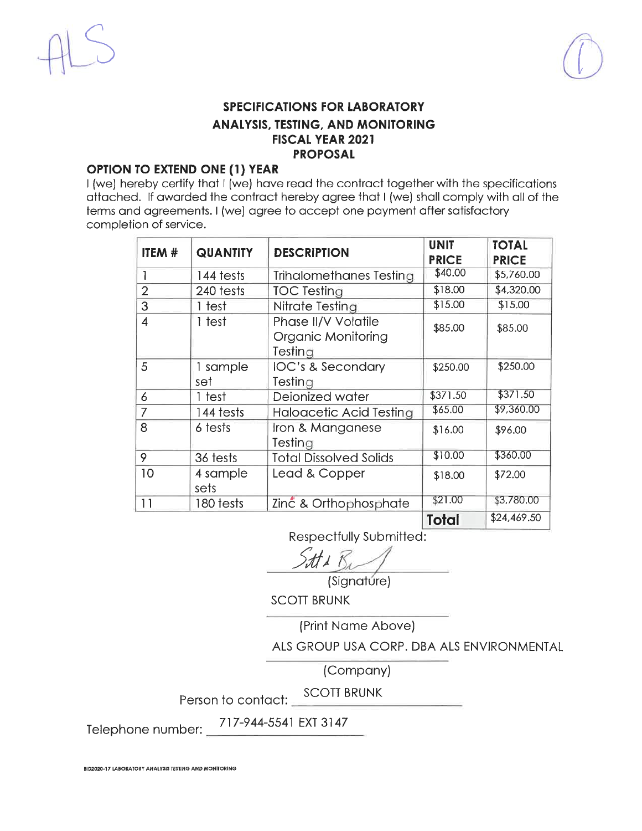

#### **OPTION TO EXTEND ONE (1) YEAR**

I (we) hereby certify that I (we) have read the contract together with the specifications attached. If awarded the contract hereby agree that I (we) shall comply with all of the terms and agreements. I (we) agree to accept one payment after satisfactory completion of service.

| ITEM #         |                  | <b>DESCRIPTION</b><br><b>QUANTITY</b>                |              | <b>TOTAL</b> |
|----------------|------------------|------------------------------------------------------|--------------|--------------|
|                |                  |                                                      | <b>PRICE</b> | <b>PRICE</b> |
|                | 144 tests        | Trihalomethanes Testing                              | \$40.00      | \$5,760.00   |
| $\overline{2}$ | 240 tests        | <b>TOC Testing</b>                                   | \$18.00      | \$4,320.00   |
| 3              | 1 test           | Nitrate Testing                                      | \$15.00      | \$15.00      |
| 4              | 1 test           | Phase II/V Volatile<br>Organic Monitoring<br>Testing | \$85.00      | \$85.00      |
| 5              | 1 sample<br>set  | IOC's & Secondary<br>Testing                         | \$250.00     | \$250.00     |
| 6              | 1 test           | Deionized water                                      | \$371.50     | \$371.50     |
| 7              | 144 tests        | <b>Haloacetic Acid Testing</b>                       | \$65.00      | \$9,360.00   |
| 8              | 6 tests          | Iron & Manganese<br>Testing                          | \$16.00      | \$96.00      |
| 9              | 36 tests         | <b>Total Dissolved Solids</b>                        | \$10.00      | \$360.00     |
| 10             | 4 sample<br>sets | Lead & Copper                                        | \$18.00      | \$72.00      |
| 11             | 180 tests        | Zinc & Orthophosphate                                | \$21.00      | \$3,780.00   |
|                |                  |                                                      | Total        | \$24,469.50  |

Respectfully Submitted:

(Signature)

**SCOTT BRUNK** 

(Print Name Above)

ALS GROUP USA CORP. DBA ALS ENVIRONMENTAL

(Company)

**SCOTT BRUNK** Person to contact:  $\Box$ 

717-944-5541 EXT 3147

Telephone number: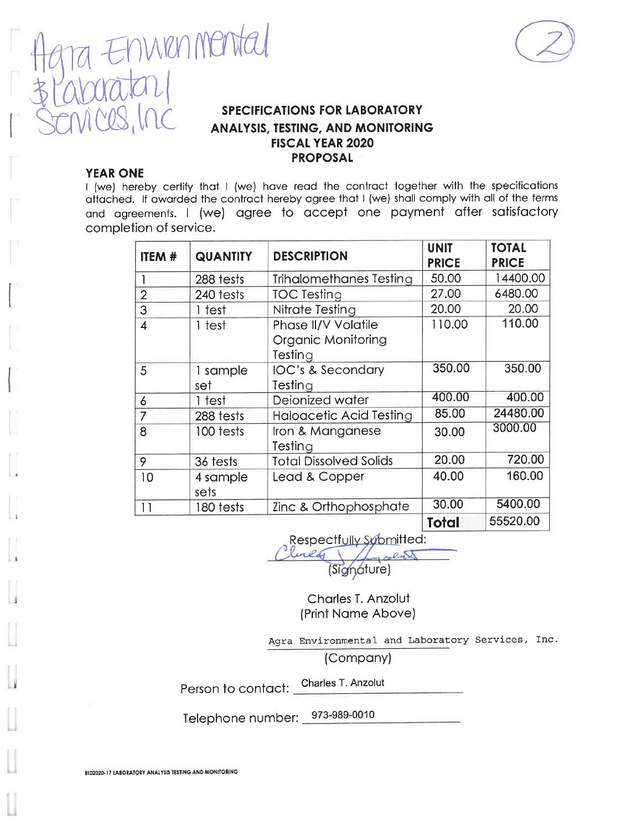



#### **YEAR ONE**

I (we) hereby certify that I (we) have read the contract together with the specifications attached. If awarded the contract hereby agree that I (we) shall comply with all of the terms and agreements. I (we) agree to accept one payment after satisfactory completion of service.

| ITEM #                  | <b>QUANTITY</b>  | <b>DESCRIPTION</b>                                          | <b>UNIT</b><br><b>PRICE</b> | <b>TOTAL</b><br><b>PRICE</b> |
|-------------------------|------------------|-------------------------------------------------------------|-----------------------------|------------------------------|
|                         | 288 tests        | <b>Trihalomethanes Testing</b>                              | 50.00                       | 14400.00                     |
| $\overline{2}$          | 240 tests        | <b>TOC Testing</b>                                          | 27.00                       | 6480.00                      |
| 3                       | 1 test           | Nitrate Testing                                             | 20.00                       | 20.00                        |
| $\overline{\mathbf{4}}$ | 1 test           | Phase II/V Volatile<br><b>Organic Monitoring</b><br>Testing | 110.00                      | 110.00                       |
| 5                       | 1 sample<br>set  | <b>IOC's &amp; Secondary</b><br>Testing                     | 350.00                      | 350.00                       |
| 6                       | 1 test           | Deionized water                                             | 400.00                      | 400.00                       |
| 7                       | 288 tests        | <b>Haloacetic Acid Testing</b>                              | 85.00                       | 24480.00                     |
| 8                       | 100 tests        | Iron & Manganese<br>Testing                                 | 30.00                       | 3000.00                      |
| 9                       | 36 tests         | <b>Total Dissolved Solids</b>                               | 20.00                       | 720.00                       |
| 10                      | 4 sample<br>sets | Lead & Copper                                               | 40.00                       | 160.00                       |
| 11                      | 180 tests        | Zinc & Orthophosphate                                       | 30.00                       | 5400.00                      |
|                         |                  |                                                             | <b>Total</b>                | 55520.00                     |

Respectfully Submitted:

Linear (Signature)

Charles T. Anzolut (Print Name Above)

Agra Environmental and Laboratory Services, Inc.

(Company)

Charles T. Anzolut Person to contact:

Telephone number: 973-989-0010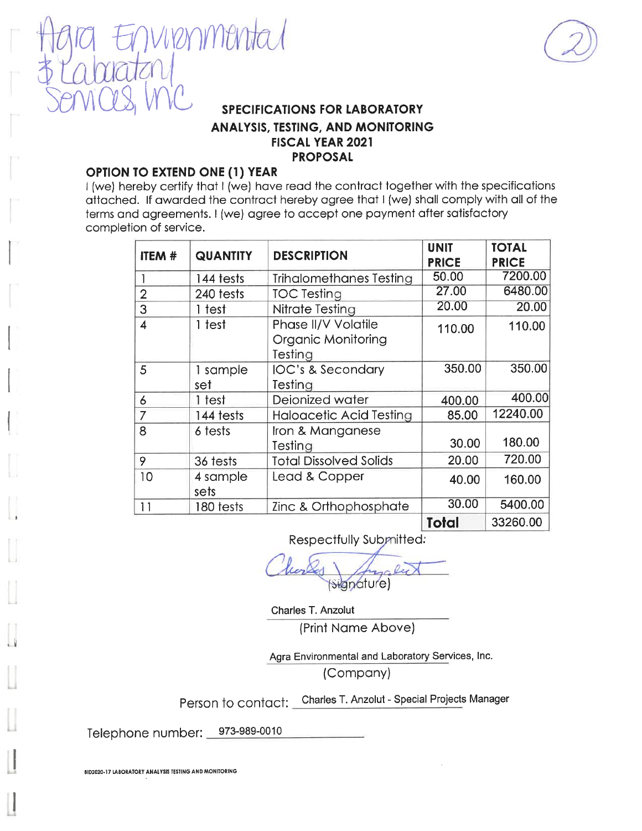

#### **OPTION TO EXTEND ONE (1) YEAR**

virenmenta

I (we) hereby certify that I (we) have read the contract together with the specifications attached. If awarded the contract hereby agree that I (we) shall comply with all of the terms and agreements. I (we) agree to accept one payment after satisfactory completion of service.

|                         | <b>DESCRIPTION</b><br><b>QUANTITY</b> |                                | <b>UNIT</b>  | <b>TOTAL</b> |
|-------------------------|---------------------------------------|--------------------------------|--------------|--------------|
| ITEM #                  |                                       |                                | <b>PRICE</b> | <b>PRICE</b> |
|                         | 144 tests                             | <b>Trihalomethanes Testing</b> | 50.00        | 7200.00      |
| $\overline{2}$          | 240 tests                             | <b>TOC Testing</b>             | 27.00        | 6480.00      |
| 3                       | 1 test                                | Nitrate Testing                | 20.00        | 20.00        |
| $\overline{\mathbf{4}}$ | 1 test                                | Phase II/V Volatile            | 110.00       | 110.00       |
|                         |                                       | <b>Organic Monitoring</b>      |              |              |
|                         |                                       | Testing                        |              |              |
| 5                       | 1 sample                              | <b>IOC's &amp; Secondary</b>   | 350.00       | 350.00       |
|                         | set                                   | Testing                        |              |              |
| 6                       | 1 test                                | Deionized water                | 400.00       | 400.00       |
| 7                       | 144 tests                             | <b>Haloacetic Acid Testing</b> | 85.00        | 12240.00     |
| 8                       | 6 tests                               | Iron & Manganese               |              |              |
|                         |                                       | Testing                        | 30.00        | 180.00       |
| 9                       | 36 tests                              | <b>Total Dissolved Solids</b>  | 20.00        | 720.00       |
| 10                      | 4 sample                              | Lead & Copper                  | 40.00        | 160.00       |
|                         | sets                                  |                                |              |              |
| 11                      | 180 tests                             | Zinc & Orthophosphate          | 30.00        | 5400.00      |
|                         |                                       |                                | <b>Total</b> | 33260.00     |

Respectfully Submitted:

(Signature)

Charles T. Anzolut (Print Name Above)

Agra Environmental and Laboratory Services, Inc. (Company)

Person to contact: Charles T. Anzolut - Special Projects Manager

Telephone number: 973-989-0010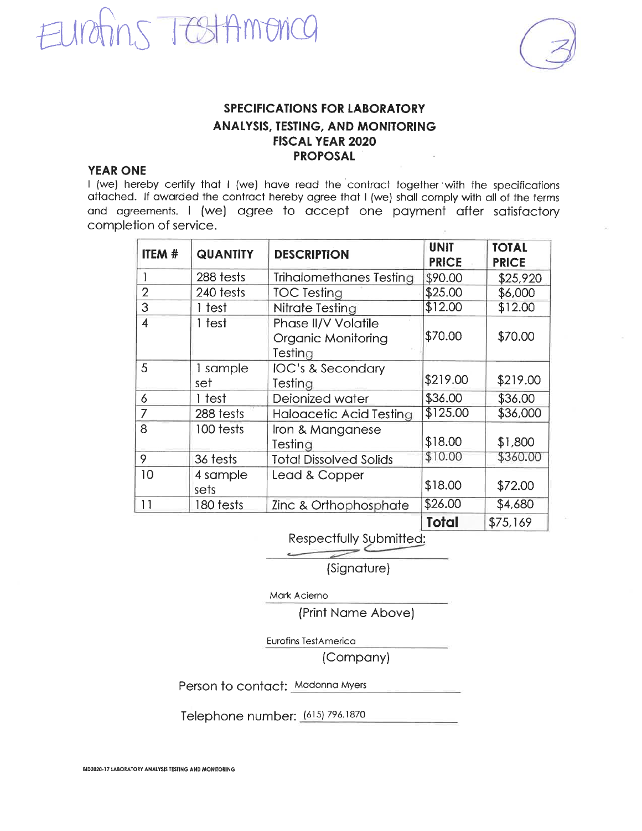



### **YEAR ONE**

I (we) hereby certify that I (we) have read the contract together with the specifications attached. If awarded the contract hereby agree that I (we) shall comply with all of the terms and agreements. I (we) agree to accept one payment after satisfactory completion of service.

| <b>ITEM #</b>  | <b>QUANTITY</b>  | <b>DESCRIPTION</b>                                          | <b>UNIT</b><br><b>PRICE</b> | <b>TOTAL</b><br><b>PRICE</b> |
|----------------|------------------|-------------------------------------------------------------|-----------------------------|------------------------------|
|                | 288 tests        | <b>Trihalomethanes Testing</b>                              | \$90.00                     | \$25,920                     |
| $\overline{2}$ | 240 tests        | <b>TOC Testing</b>                                          | \$25.00                     | \$6,000                      |
| 3              | 1 test           | Nitrate Testing                                             | \$12.00                     | \$12.00                      |
| $\overline{4}$ | 1 test           | <b>Phase II/V Volatile</b><br>Organic Monitoring<br>Testing | \$70.00                     | \$70.00                      |
| 5              | 1 sample<br>set  | IOC's & Secondary<br>Testing                                | \$219.00                    | \$219.00                     |
| 6              | 1 test           | Deionized water                                             | \$36.00                     | \$36.00                      |
| 7              | 288 tests        | Haloacetic Acid Testing                                     | \$125.00                    | \$36,000                     |
| 8              | 100 tests        | Iron & Manganese<br>Testing                                 | \$18.00                     | \$1,800                      |
| 9              | 36 tests         | <b>Total Dissolved Solids</b>                               | \$10.00                     | \$360.00                     |
| 10             | 4 sample<br>sets | Lead & Copper                                               | \$18.00                     | \$72.00                      |
| 11             | 180 tests        | Zinc & Orthophosphate                                       | \$26.00                     | \$4,680                      |
|                |                  |                                                             | <b>Total</b>                | \$75,169                     |

Respectfully Submitted:

(Signature)

Mark Acierno

(Print Name Above)

Eurofins TestAmerica

(Company)

Person to contact: Madonna Myers

Telephone number: (615) 796.1870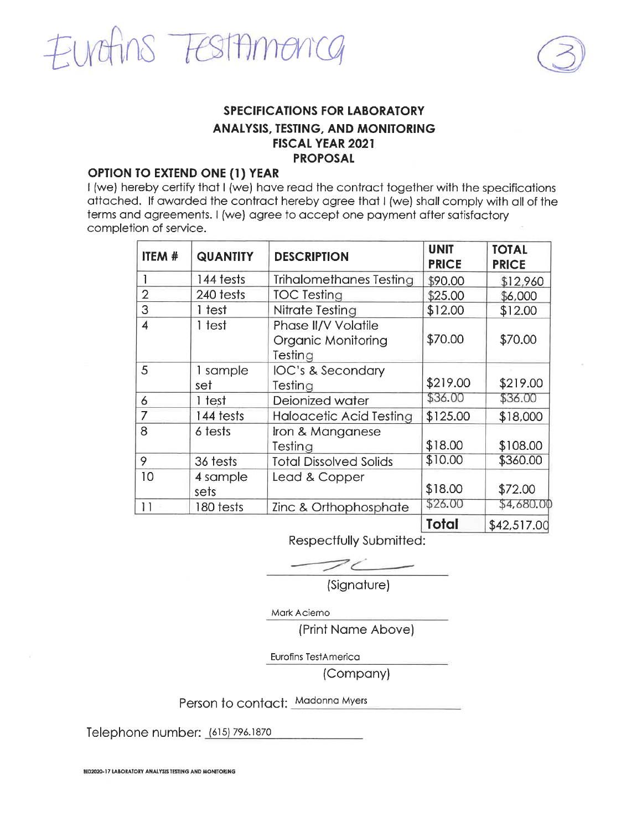



### **OPTION TO EXTEND ONE (1) YEAR**

I (we) hereby certify that I (we) have read the contract together with the specifications attached. If awarded the contract hereby agree that I (we) shall comply with all of the terms and agreements. I (we) agree to accept one payment after satisfactory completion of service.

| ITEM #                  | <b>QUANTITY</b>  | <b>DESCRIPTION</b>                                          | <b>UNIT</b><br><b>PRICE</b> | <b>TOTAL</b><br><b>PRICE</b> |
|-------------------------|------------------|-------------------------------------------------------------|-----------------------------|------------------------------|
|                         | 144 tests        | Trihalomethanes Testing                                     | \$90.00                     | \$12,960                     |
| $\overline{2}$          | 240 tests        | <b>TOC Testing</b>                                          | \$25.00                     | \$6,000                      |
| 3                       | 1 test           | Nitrate Testing                                             | \$12.00                     | \$12.00                      |
| $\overline{\mathbf{4}}$ | 1 test           | Phase II/V Volatile<br><b>Organic Monitoring</b><br>Testing | \$70.00                     | \$70.00                      |
| 5                       | 1 sample<br>set  | IOC's & Secondary<br>Testing                                | \$219.00                    | \$219.00                     |
| 6                       | 1 test           | Deionized water                                             | \$36.00                     | \$36.00                      |
| 7                       | 144 tests        | Haloacetic Acid Testing                                     | \$125.00                    | \$18,000                     |
| 8                       | 6 tests          | Iron & Manganese<br>Testing                                 | \$18.00                     | \$108.00                     |
| 9                       | 36 tests         | <b>Total Dissolved Solids</b>                               | \$10.00                     | \$360.00                     |
| 10                      | 4 sample<br>sets | Lead & Copper                                               | \$18.00                     | \$72.00                      |
| 11                      | 180 tests        | Zinc & Orthophosphate                                       | \$26.00                     | \$4,680.00                   |
|                         |                  |                                                             | Total                       | \$42,517.00                  |

Respectfully Submitted:

(Signature)

Mark Acierno

(Print Name Above)

Eurofins TestAmerica

(Company)

Person to contact: Madonna Myers

Telephone number: (615) 796.1870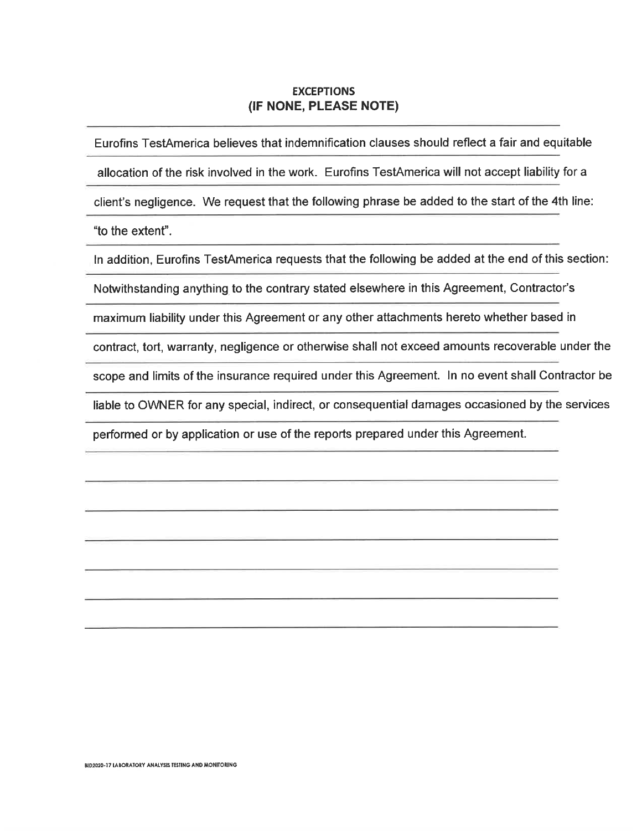#### **EXCEPTIONS** (IF NONE, PLEASE NOTE)

Eurofins TestAmerica believes that indemnification clauses should reflect a fair and equitable

allocation of the risk involved in the work. Eurofins TestAmerica will not accept liability for a

client's negligence. We request that the following phrase be added to the start of the 4th line:

"to the extent".

In addition, Eurofins TestAmerica requests that the following be added at the end of this section:

Notwithstanding anything to the contrary stated elsewhere in this Agreement, Contractor's

maximum liability under this Agreement or any other attachments hereto whether based in

contract, tort, warranty, negligence or otherwise shall not exceed amounts recoverable under the

scope and limits of the insurance required under this Agreement. In no event shall Contractor be

liable to OWNER for any special, indirect, or consequential damages occasioned by the services

performed or by application or use of the reports prepared under this Agreement.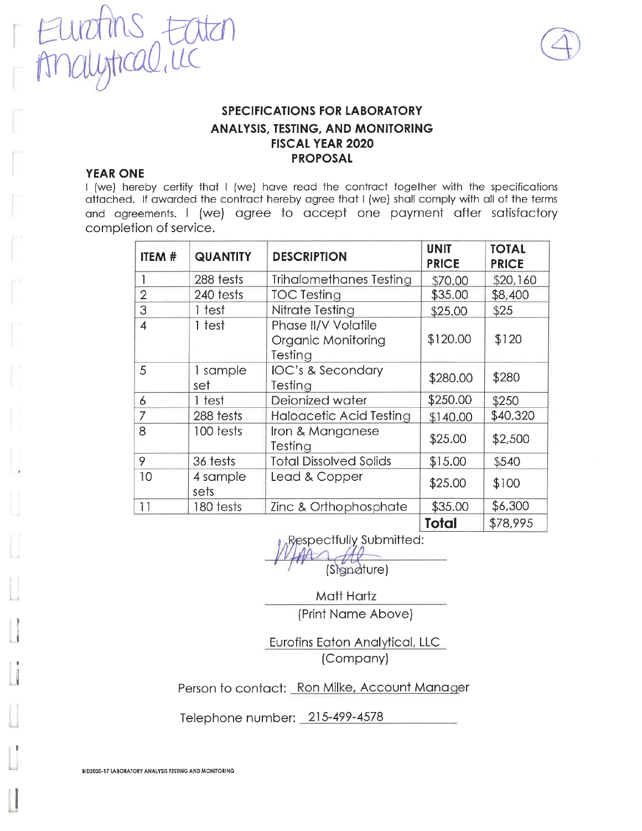



### **YEAR ONE**

I (we) hereby certify that I (we) have read the contract together with the specifications attached. If awarded the contract hereby agree that I (we) shall comply with all of the terms and agreements. I (we) agree to accept one payment after satisfactory completion of service.

| ITEM #         | <b>QUANTITY</b>  | <b>DESCRIPTION</b>                                   | <b>UNIT</b><br><b>PRICE</b> | <b>TOTAL</b><br><b>PRICE</b> |
|----------------|------------------|------------------------------------------------------|-----------------------------|------------------------------|
|                | 288 tests        | <b>Trihalomethanes Testing</b>                       | \$70.00                     | \$20,160                     |
| $\overline{2}$ | 240 tests        | <b>TOC Testing</b>                                   | \$35.00                     | \$8,400                      |
| 3              | 1 test           | Nitrate Testing                                      | \$25.00                     | \$25                         |
| $\overline{4}$ | 1 test           | Phase II/V Volatile<br>Organic Monitoring<br>Testing | \$120.00                    | \$120                        |
| 5              | 1 sample<br>set  | IOC's & Secondary<br>Testing                         | \$280.00                    | \$280                        |
| 6              | 1 test           | Deionized water                                      | \$250.00                    | \$250                        |
| 7              | 288 tests        | <b>Haloacetic Acid Testing</b>                       | \$140.00                    | \$40,320                     |
| 8              | 100 tests        | Iron & Manganese<br>Testing                          | \$25.00                     | \$2,500                      |
| 9              | 36 tests         | <b>Total Dissolved Solids</b>                        | \$15.00                     | \$540                        |
| 10             | 4 sample<br>sets | Lead & Copper                                        | \$25.00                     | \$100                        |
| 11             | 180 tests        | Zinc & Orthophosphate                                | \$35.00                     | \$6,300                      |
|                |                  |                                                      | Total                       | \$78,995                     |

Respectfully Submitted:

(Signature)

Matt Hartz (Print Name Above)

Eurofins Eaton Analytical, LLC (Company)

Person to contact: Ron Milke, Account Manager

Telephone number: 215-499-4578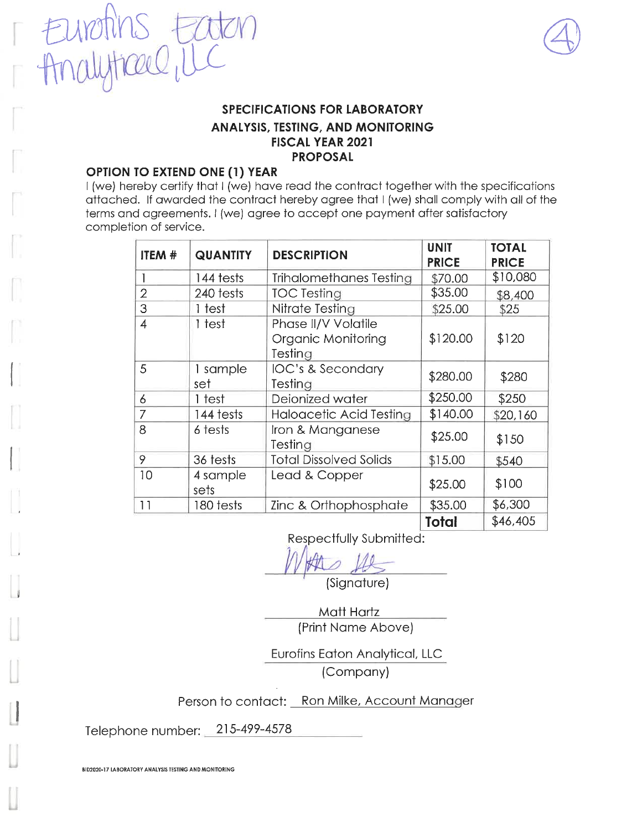

### **OPTION TO EXTEND ONE (1) YEAR**

Eurotins E

I (we) hereby certify that I (we) have read the contract together with the specifications attached. If awarded the contract hereby agree that I (we) shall comply with all of the terms and agreements. I (we) agree to accept one payment after satisfactory completion of service.

| <b>ITEM #</b>  | <b>QUANTITY</b>  | <b>DESCRIPTION</b>                                          | <b>UNIT</b><br><b>PRICE</b> | <b>TOTAL</b><br><b>PRICE</b> |
|----------------|------------------|-------------------------------------------------------------|-----------------------------|------------------------------|
|                | 144 tests        | Trihalomethanes Testing                                     | \$70.00                     | \$10,080                     |
| $\overline{2}$ | 240 tests        | <b>TOC Testing</b>                                          | \$35.00                     | \$8,400                      |
| 3              | 1 test           | Nitrate Testing                                             | \$25.00                     | \$25                         |
| 4              | 1 test           | Phase II/V Volatile<br><b>Organic Monitoring</b><br>Testing | \$120.00                    | \$120                        |
| 5              | 1 sample<br>set  | IOC's & Secondary<br>Testing                                | \$280.00                    | \$280                        |
| 6              | 1 test           | Deionized water                                             | \$250.00                    | \$250                        |
| 7              | 144 tests        | Haloacetic Acid Testing                                     | \$140.00                    | \$20,160                     |
| 8              | 6 tests          | Iron & Manganese<br>Testing                                 | \$25.00                     | \$150                        |
| 9              | 36 tests         | <b>Total Dissolved Solids</b>                               | \$15.00                     | \$540                        |
| 10             | 4 sample<br>sets | Lead & Copper                                               | \$25.00                     | \$100                        |
| 11             | 180 tests        | Zinc & Orthophosphate                                       | \$35.00                     | \$6,300                      |
|                |                  |                                                             | Total                       | \$46,405                     |

Respectfully Submitted:

(Signature)

Matt Hartz (Print Name Above)

Eurofins Eaton Analytical, LLC (Company)

Person to contact: Ron Milke, Account Manager

Telephone number: 215-499-4578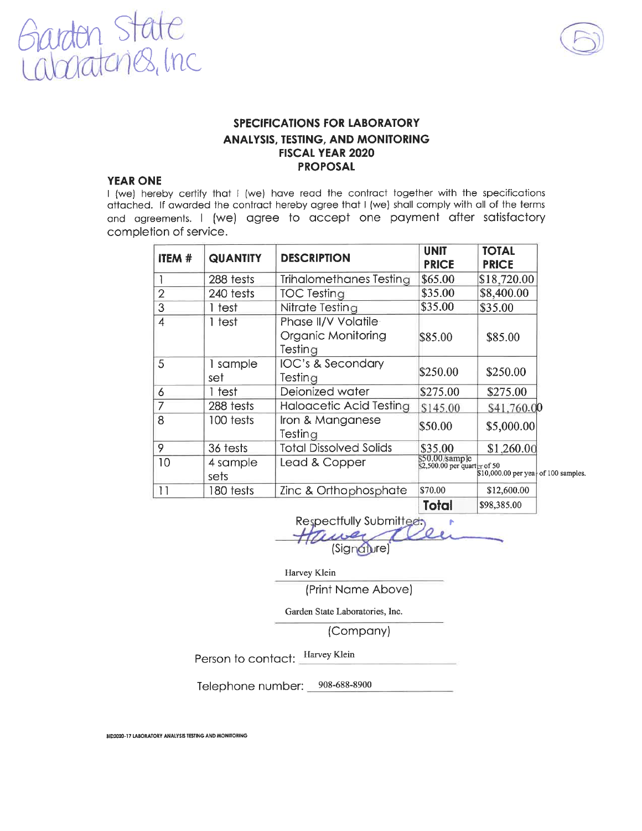



#### **YEAR ONE**

I (we) hereby certify that I (we) have read the contract together with the specifications attached. If awarded the contract hereby agree that I (we) shall comply with all of the terms and agreements. I (we) agree to accept one payment after satisfactory completion of service.

| <b>ITEM #</b>  | <b>QUANTITY</b>  | <b>DESCRIPTION</b>                                   | <b>UNIT</b><br><b>PRICE</b>                       | <b>TOTAL</b><br><b>PRICE</b>         |  |
|----------------|------------------|------------------------------------------------------|---------------------------------------------------|--------------------------------------|--|
|                | 288 tests        | Trihalomethanes Testing                              | \$65.00                                           | \$18,720.00                          |  |
| $\overline{2}$ | 240 tests        | <b>TOC Testing</b>                                   | \$35.00                                           | \$8,400.00                           |  |
| 3              | 1 test           | Nitrate Testing                                      | \$35.00                                           | \$35.00                              |  |
| $\overline{4}$ | 1 test           | Phase II/V Volatile<br>Organic Monitoring<br>Testing | \$85.00                                           | \$85.00                              |  |
| 5              | 1 sample<br>set  | <b>IOC's &amp; Secondary</b><br>Testing              | \$250.00                                          | \$250.00                             |  |
| 6              | 1 test           | Deionized water                                      | \$275.00                                          | \$275.00                             |  |
| 7              | 288 tests        | Haloacetic Acid Testing                              | \$145.00                                          | \$41,760.00                          |  |
| 8              | 100 tests        | Iron & Manganese<br>Testing                          | \$50.00                                           | \$5,000.00                           |  |
| 9              | 36 tests         | <b>Total Dissolved Solids</b>                        | \$35.00                                           | \$1,260.00                           |  |
| 10             | 4 sample<br>sets | Lead & Copper                                        | $$50.00$ /sample<br>$$2,500.00$ per quarter of 50 | \$10,000.00 per year of 100 samples. |  |
| 11             | 180 tests        | Zinc & Orthophosphate                                | \$70.00                                           | \$12,600.00                          |  |
|                |                  |                                                      | Total                                             | \$98,385.00                          |  |

Respectfully Submitted (Signature)

Harvey Klein

(Print Name Above)

Garden State Laboratories, Inc.

(Company)

Person to contact: Harvey Klein

Telephone number: 908-688-8900